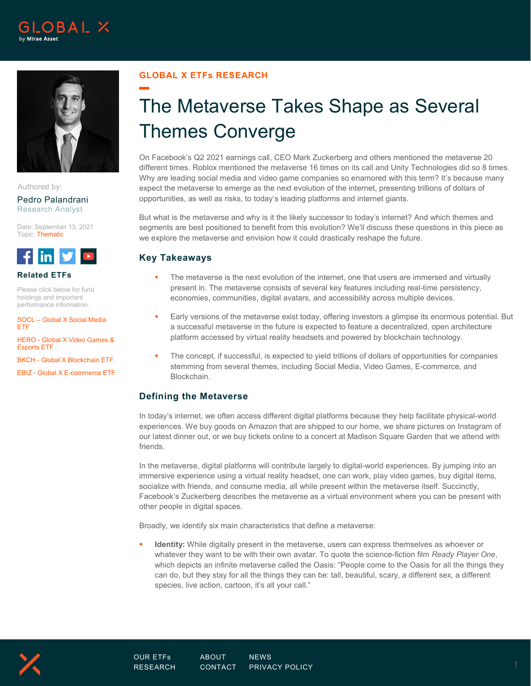



Authored by:

Pedro Palandrani Research Analyst

Date: September 13, 2021 Topic: Thematic



**Related ETFs**

Please click below for fund holdings and important performance information.

SOCL – Global X Social Media ETF

HERO - Global X Video Games & Esports ETF

BKCH - Global X Blockchain ETF

EBIZ - Global X E-commerce ETF

#### **GLOBAL X ETFs RESEARCH**

# The Metaverse Takes Shape as Several Themes Converge

On Facebook's Q2 2021 earnings call, CEO Mark Zuckerberg and others mentioned the metaverse 20 different times. Roblox mentioned the metaverse 16 times on its call and Unity Technologies did so 8 times. Why are leading social media and video game companies so enamored with this term? It's because many expect the metaverse to emerge as the next evolution of the internet, presenting trillions of dollars of opportunities, as well as risks, to today's leading platforms and internet giants.

But what is the metaverse and why is it the likely successor to today's internet? And which themes and segments are best positioned to benefit from this evolution? We'll discuss these questions in this piece as we explore the metaverse and envision how it could drastically reshape the future.

## **Key Takeaways**

- The metaverse is the next evolution of the internet, one that users are immersed and virtually present in. The metaverse consists of several key features including real-time persistency, economies, communities, digital avatars, and accessibility across multiple devices.
- Early versions of the metaverse exist today, offering investors a glimpse its enormous potential. But a successful metaverse in the future is expected to feature a decentralized, open architecture platform accessed by virtual reality headsets and powered by blockchain technology.
- The concept, if successful, is expected to yield trillions of dollars of opportunities for companies stemming from several themes, including Social Media, Video Games, E-commerce, and Blockchain.

## **Defining the Metaverse**

In today's internet, we often access different digital platforms because they help facilitate physical-world experiences. We buy goods on Amazon that are shipped to our home, we share pictures on Instagram of our latest dinner out, or we buy tickets online to a concert at Madison Square Garden that we attend with friends.

In the metaverse, digital platforms will contribute largely to digital-world experiences. By jumping into an immersive experience using a virtual reality headset, one can work, play video games, buy digital items, socialize with friends, and consume media, all while present within the metaverse itself. Succinctly, Facebook's Zuckerberg describes the metaverse as a virtual environment where you can be present with other people in digital spaces.

Broadly, we identify six main characteristics that define a metaverse:

 **Identity:** While digitally present in the metaverse, users can express themselves as whoever or whatever they want to be with their own avatar. To quote the science-fiction film *Ready Player One*, which depicts an infinite metaverse called the Oasis: "People come to the Oasis for all the things they can do, but they stay for all the things they can be: tall, beautiful, scary, a different sex, a different species, live action, cartoon, it's all your call."

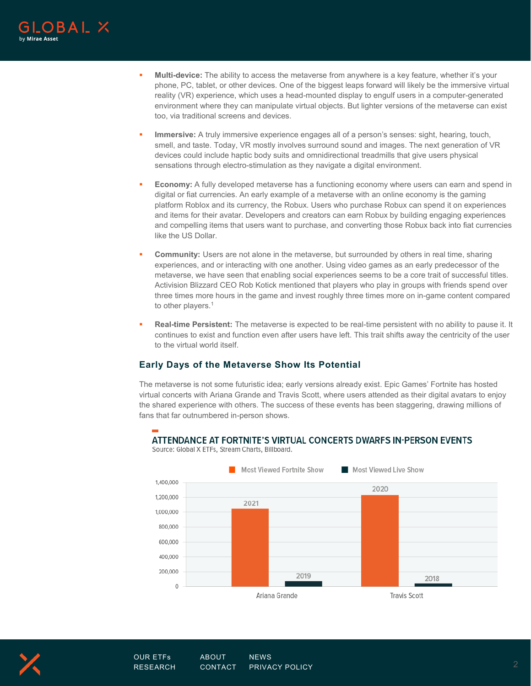

- **Multi-device:** The ability to access the metaverse from anywhere is a key feature, whether it's your phone, PC, tablet, or other devices. One of the biggest leaps forward will likely be the immersive virtual reality (VR) experience, which uses a head-mounted display to engulf users in a computer-generated environment where they can manipulate virtual objects. But lighter versions of the metaverse can exist too, via traditional screens and devices.
- **Immersive:** A truly immersive experience engages all of a person's senses: sight, hearing, touch, smell, and taste. Today, VR mostly involves surround sound and images. The next generation of VR devices could include haptic body suits and omnidirectional treadmills that give users physical sensations through electro-stimulation as they navigate a digital environment.
- **Economy:** A fully developed metaverse has a functioning economy where users can earn and spend in digital or fiat currencies. An early example of a metaverse with an online economy is the gaming platform Roblox and its currency, the Robux. Users who purchase Robux can spend it on experiences and items for their avatar. Developers and creators can earn Robux by building engaging experiences and compelling items that users want to purchase, and converting those Robux back into fiat currencies like the US Dollar.
- **Community:** Users are not alone in the metaverse, but surrounded by others in real time, sharing experiences, and or interacting with one another. Using video games as an early predecessor of the metaverse, we have seen that enabling social experiences seems to be a core trait of successful titles. Activision Blizzard CEO Rob Kotick mentioned that players who play in groups with friends spend over three times more hours in the game and invest roughly three times more on in-game content compared to other players. 1
- **Real-time Persistent:** The metaverse is expected to be real-time persistent with no ability to pause it. It continues to exist and function even after users have left. This trait shifts away the centricity of the user to the virtual world itself.

#### **Early Days of the Metaverse Show Its Potential**

The metaverse is not some futuristic idea; early versions already exist. Epic Games' Fortnite has hosted virtual concerts with Ariana Grande and Travis Scott, where users attended as their digital avatars to enjoy the shared experience with others. The success of these events has been staggering, drawing millions of fans that far outnumbered in-person shows.

#### ATTENDANCE AT FORTNITE'S VIRTUAL CONCERTS DWARFS IN-PERSON EVENTS



Source: Global X ETFs, Stream Charts, Billboard.

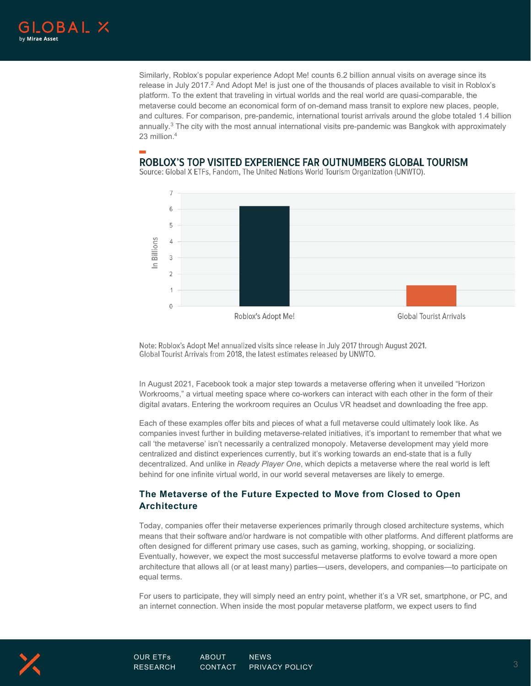

Similarly, Roblox's popular experience Adopt Me! counts 6.2 billion annual visits on average since its release in July 2017.<sup>2</sup> And Adopt Me! is just one of the thousands of places available to visit in Roblox's platform. To the extent that traveling in virtual worlds and the real world are quasi-comparable, the metaverse could become an economical form of on-demand mass transit to explore new places, people, and cultures. For comparison, pre-pandemic, international tourist arrivals around the globe totaled 1.4 billion annually. <sup>3</sup> The city with the most annual international visits pre-pandemic was Bangkok with approximately 23 million. 4

## ROBLOX'S TOP VISITED EXPERIENCE FAR OUTNUMBERS GLOBAL TOURISM

Source: Global X ETFs, Fandom, The United Nations World Tourism Organization (UNWTO).



Note: Roblox's Adopt Me! annualized visits since release in July 2017 through August 2021. Global Tourist Arrivals from 2018, the latest estimates released by UNWTO.

In August 2021, Facebook took a major step towards a metaverse offering when it unveiled "Horizon Workrooms," a virtual meeting space where co-workers can interact with each other in the form of their digital avatars. Entering the workroom requires an Oculus VR headset and downloading the free app.

Each of these examples offer bits and pieces of what a full metaverse could ultimately look like. As companies invest further in building metaverse-related initiatives, it's important to remember that what we call 'the metaverse' isn't necessarily a centralized monopoly. Metaverse development may yield more centralized and distinct experiences currently, but it's working towards an end-state that is a fully decentralized. And unlike in *Ready Player One*, which depicts a metaverse where the real world is left behind for one infinite virtual world, in our world several metaverses are likely to emerge.

## **The Metaverse of the Future Expected to Move from Closed to Open Architecture**

Today, companies offer their metaverse experiences primarily through closed architecture systems, which means that their software and/or hardware is not compatible with other platforms. And different platforms are often designed for different primary use cases, such as gaming, working, shopping, or socializing. Eventually, however, we expect the most successful metaverse platforms to evolve toward a more open architecture that allows all (or at least many) parties—users, developers, and companies—to participate on equal terms.

For users to participate, they will simply need an entry point, whether it's a VR set, smartphone, or PC, and an internet connection. When inside the most popular metaverse platform, we expect users to find

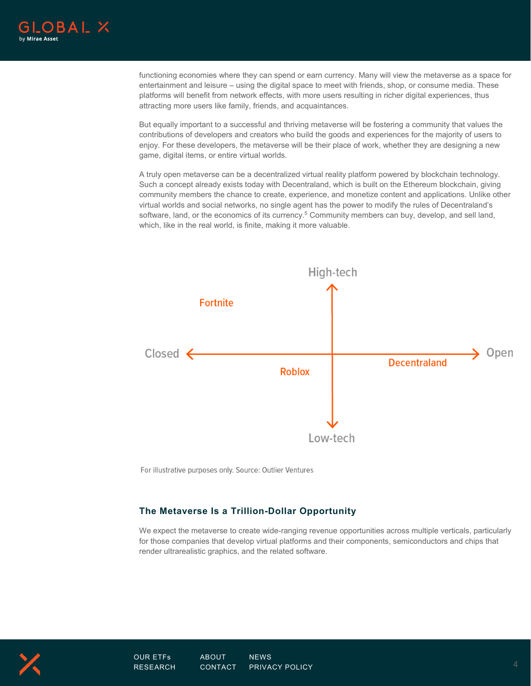

functioning economies where they can spend or earn currency. Many will view the metaverse as a space for entertainment and leisure – using the digital space to meet with friends, shop, or consume media. These platforms will benefit from network effects, with more users resulting in richer digital experiences, thus attracting more users like family, friends, and acquaintances.

But equally important to a successful and thriving metaverse will be fostering a community that values the contributions of developers and creators who build the goods and experiences for the majority of users to enjoy. For these developers, the metaverse will be their place of work, whether they are designing a new game, digital items, or entire virtual worlds.

A truly open metaverse can be a decentralized virtual reality platform powered by blockchain technology. Such a concept already exists today with Decentraland, which is built on the Ethereum blockchain, giving community members the chance to create, experience, and monetize content and applications. Unlike other virtual worlds and social networks, no single agent has the power to modify the rules of Decentraland's software, land, or the economics of its currency.<sup>5</sup> Community members can buy, develop, and sell land, which, like in the real world, is finite, making it more valuable.



For illustrative purposes only. Source: Outlier Ventures

#### **The Metaverse Is a Trillion-Dollar Opportunity**

We expect the metaverse to create wide-ranging revenue opportunities across multiple verticals, particularly for those companies that develop virtual platforms and their components, semiconductors and chips that render ultrarealistic graphics, and the related software.

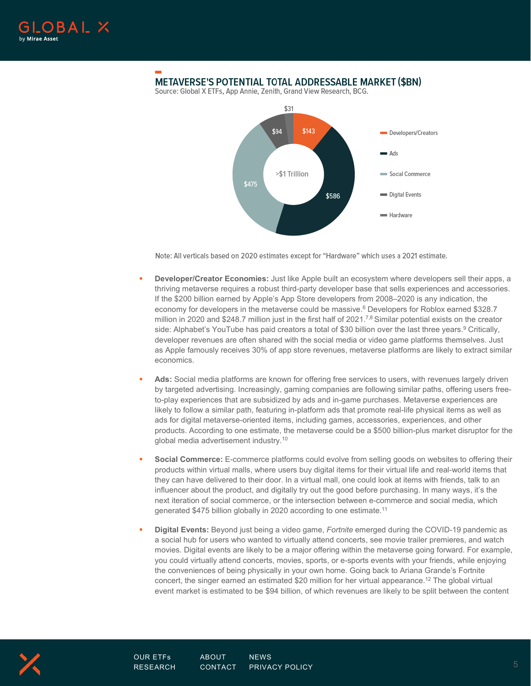

## METAVERSE'S POTENTIAL TOTAL ADDRESSABLE MARKET (\$BN)

Source: Global X ETFs, App Annie, Zenith, Grand View Research, BCG.



Note: All verticals based on 2020 estimates except for "Hardware" which uses a 2021 estimate.

- **Developer/Creator Economies:** Just like Apple built an ecosystem where developers sell their apps, a thriving metaverse requires a robust third-party developer base that sells experiences and accessories. If the \$200 billion earned by Apple's App Store developers from 2008–2020 is any indication, the economy for developers in the metaverse could be massive. <sup>6</sup> Developers for Roblox earned \$328.7 million in 2020 and \$248.7 million just in the first half of 2021.<sup>7,8</sup> Similar potential exists on the creator side: Alphabet's YouTube has paid creators a total of \$30 billion over the last three years. <sup>9</sup> Critically, developer revenues are often shared with the social media or video game platforms themselves. Just as Apple famously receives 30% of app store revenues, metaverse platforms are likely to extract similar economics.
- **Ads:** Social media platforms are known for offering free services to users, with revenues largely driven by targeted advertising. Increasingly, gaming companies are following similar paths, offering users freeto-play experiences that are subsidized by ads and in-game purchases. Metaverse experiences are likely to follow a similar path, featuring in-platform ads that promote real-life physical items as well as ads for digital metaverse-oriented items, including games, accessories, experiences, and other products. According to one estimate, the metaverse could be a \$500 billion-plus market disruptor for the global media advertisement industry. 10
- **Social Commerce:** E-commerce platforms could evolve from selling goods on websites to offering their products within virtual malls, where users buy digital items for their virtual life and real-world items that they can have delivered to their door. In a virtual mall, one could look at items with friends, talk to an influencer about the product, and digitally try out the good before purchasing. In many ways, it's the next iteration of social commerce, or the intersection between e-commerce and social media, which generated \$475 billion globally in 2020 according to one estimate. 11
- **Digital Events:** Beyond just being a video game, *Fortnite* emerged during the COVID-19 pandemic as a social hub for users who wanted to virtually attend concerts, see movie trailer premieres, and watch movies. Digital events are likely to be a major offering within the metaverse going forward. For example, you could virtually attend concerts, movies, sports, or e-sports events with your friends, while enjoying the conveniences of being physically in your own home. Going back to Ariana Grande's Fortnite concert, the singer earned an estimated \$20 million for her virtual appearance. <sup>12</sup> The global virtual event market is estimated to be \$94 billion, of which revenues are likely to be split between the content

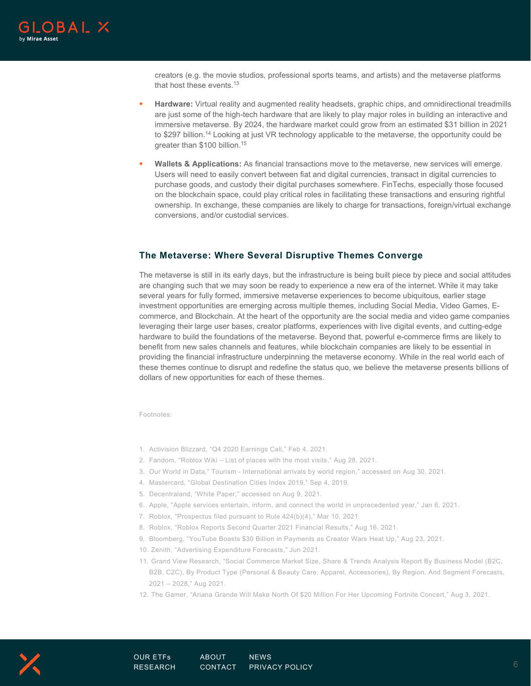

creators (e.g. the movie studios, professional sports teams, and artists) and the metaverse platforms that host these events. 13

- **Hardware:** Virtual reality and augmented reality headsets, graphic chips, and omnidirectional treadmills are just some of the high-tech hardware that are likely to play major roles in building an interactive and immersive metaverse. By 2024, the hardware market could grow from an estimated \$31 billion in 2021 to \$297 billion.<sup>14</sup> Looking at just VR technology applicable to the metaverse, the opportunity could be greater than \$100 billion.<sup>15</sup>
- **Wallets & Applications:** As financial transactions move to the metaverse, new services will emerge. Users will need to easily convert between fiat and digital currencies, transact in digital currencies to purchase goods, and custody their digital purchases somewhere. FinTechs, especially those focused on the blockchain space, could play critical roles in facilitating these transactions and ensuring rightful ownership. In exchange, these companies are likely to charge for transactions, foreign/virtual exchange conversions, and/or custodial services.

#### **The Metaverse: Where Several Disruptive Themes Converge**

The metaverse is still in its early days, but the infrastructure is being built piece by piece and social attitudes are changing such that we may soon be ready to experience a new era of the internet. While it may take several years for fully formed, immersive metaverse experiences to become ubiquitous, earlier stage investment opportunities are emerging across multiple themes, including Social Media, Video Games, Ecommerce, and Blockchain. At the heart of the opportunity are the social media and video game companies leveraging their large user bases, creator platforms, experiences with live digital events, and cutting-edge hardware to build the foundations of the metaverse. Beyond that, powerful e-commerce firms are likely to benefit from new sales channels and features, while blockchain companies are likely to be essential in providing the financial infrastructure underpinning the metaverse economy. While in the real world each of these themes continue to disrupt and redefine the status quo, we believe the metaverse presents billions of dollars of new opportunities for each of these themes.

#### Footnotes:

- 1. Activision Blizzard, "Q4 2020 Earnings Call," Feb 4, 2021.
- 2. Fandom, "Roblox Wiki List of places with the most visits," Aug 28, 2021.
- 3. Our World in Data," Tourism International arrivals by world region," accessed on Aug 30, 2021.
- 4. Mastercard, "Global Destination Cities Index 2019," Sep 4, 2019.
- 5. Decentraland, "White Paper," accessed on Aug 9, 2021.
- 6. Apple, "Apple services entertain, inform, and connect the world in unprecedented year," Jan 6, 2021.
- 7. Roblox, "Prospectus filed pursuant to Rule 424(b)(4)," Mar 10, 2021.
- 8. Roblox, "Roblox Reports Second Quarter 2021 Financial Results," Aug 16, 2021.
- 9. Bloomberg, "YouTube Boasts \$30 Billion in Payments as Creator Wars Heat Up," Aug 23, 2021.
- 10. Zenith, "Advertising Expenditure Forecasts," Jun 2021.
- 11. Grand View Research, "Social Commerce Market Size, Share & Trends Analysis Report By Business Model (B2C, B2B, C2C), By Product Type (Personal & Beauty Care, Apparel, Accessories), By Region, And Segment Forecasts, 2021 – 2028," Aug 2021.
- 12. The Gamer, "Ariana Grande Will Make North Of \$20 Million For Her Upcoming Fortnite Concert," Aug 3, 2021.